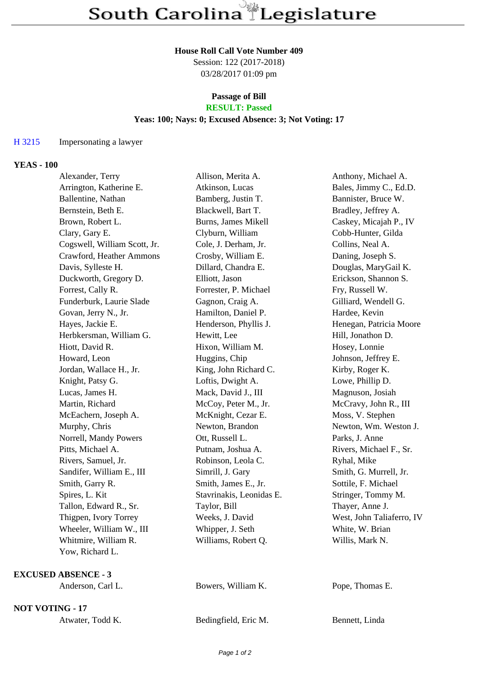## **House Roll Call Vote Number 409**

Session: 122 (2017-2018) 03/28/2017 01:09 pm

#### **Passage of Bill RESULT: Passed**

# **Yeas: 100; Nays: 0; Excused Absence: 3; Not Voting: 17**

### H 3215 Impersonating a lawyer

## **YEAS - 100**

| Alexander, Terry             | Allison, Merita A.       | Anthony, Michael A.       |
|------------------------------|--------------------------|---------------------------|
| Arrington, Katherine E.      | Atkinson, Lucas          | Bales, Jimmy C., Ed.D.    |
| Ballentine, Nathan           | Bamberg, Justin T.       | Bannister, Bruce W.       |
| Bernstein, Beth E.           | Blackwell, Bart T.       | Bradley, Jeffrey A.       |
| Brown, Robert L.             | Burns, James Mikell      | Caskey, Micajah P., IV    |
| Clary, Gary E.               | Clyburn, William         | Cobb-Hunter, Gilda        |
| Cogswell, William Scott, Jr. | Cole, J. Derham, Jr.     | Collins, Neal A.          |
| Crawford, Heather Ammons     | Crosby, William E.       | Daning, Joseph S.         |
| Davis, Sylleste H.           | Dillard, Chandra E.      | Douglas, MaryGail K.      |
| Duckworth, Gregory D.        | Elliott, Jason           | Erickson, Shannon S.      |
| Forrest, Cally R.            | Forrester, P. Michael    | Fry, Russell W.           |
| Funderburk, Laurie Slade     | Gagnon, Craig A.         | Gilliard, Wendell G.      |
| Govan, Jerry N., Jr.         | Hamilton, Daniel P.      | Hardee, Kevin             |
| Hayes, Jackie E.             | Henderson, Phyllis J.    | Henegan, Patricia Moore   |
| Herbkersman, William G.      | Hewitt, Lee              | Hill, Jonathon D.         |
| Hiott, David R.              | Hixon, William M.        | Hosey, Lonnie             |
| Howard, Leon                 | Huggins, Chip            | Johnson, Jeffrey E.       |
| Jordan, Wallace H., Jr.      | King, John Richard C.    | Kirby, Roger K.           |
| Knight, Patsy G.             | Loftis, Dwight A.        | Lowe, Phillip D.          |
| Lucas, James H.              | Mack, David J., III      | Magnuson, Josiah          |
| Martin, Richard              | McCoy, Peter M., Jr.     | McCravy, John R., III     |
| McEachern, Joseph A.         | McKnight, Cezar E.       | Moss, V. Stephen          |
| Murphy, Chris                | Newton, Brandon          | Newton, Wm. Weston J.     |
| Norrell, Mandy Powers        | Ott, Russell L.          | Parks, J. Anne            |
| Pitts, Michael A.            | Putnam, Joshua A.        | Rivers, Michael F., Sr.   |
| Rivers, Samuel, Jr.          | Robinson, Leola C.       | Ryhal, Mike               |
| Sandifer, William E., III    | Simrill, J. Gary         | Smith, G. Murrell, Jr.    |
| Smith, Garry R.              | Smith, James E., Jr.     | Sottile, F. Michael       |
| Spires, L. Kit               | Stavrinakis, Leonidas E. | Stringer, Tommy M.        |
| Tallon, Edward R., Sr.       | Taylor, Bill             | Thayer, Anne J.           |
| Thigpen, Ivory Torrey        | Weeks, J. David          | West, John Taliaferro, IV |
| Wheeler, William W., III     | Whipper, J. Seth         | White, W. Brian           |
| Whitmire, William R.         | Williams, Robert Q.      | Willis, Mark N.           |
| Yow, Richard L.              |                          |                           |
| <b>EXCUSED ABSENCE - 3</b>   |                          |                           |
| Anderson, Carl L.            | Bowers, William K.       | Pope, Thomas E.           |

**NOT VOTING - 17**

| Atwater, Todd K. | Bedingfield, Eric M. | Bennett, Linda |
|------------------|----------------------|----------------|
|                  |                      |                |